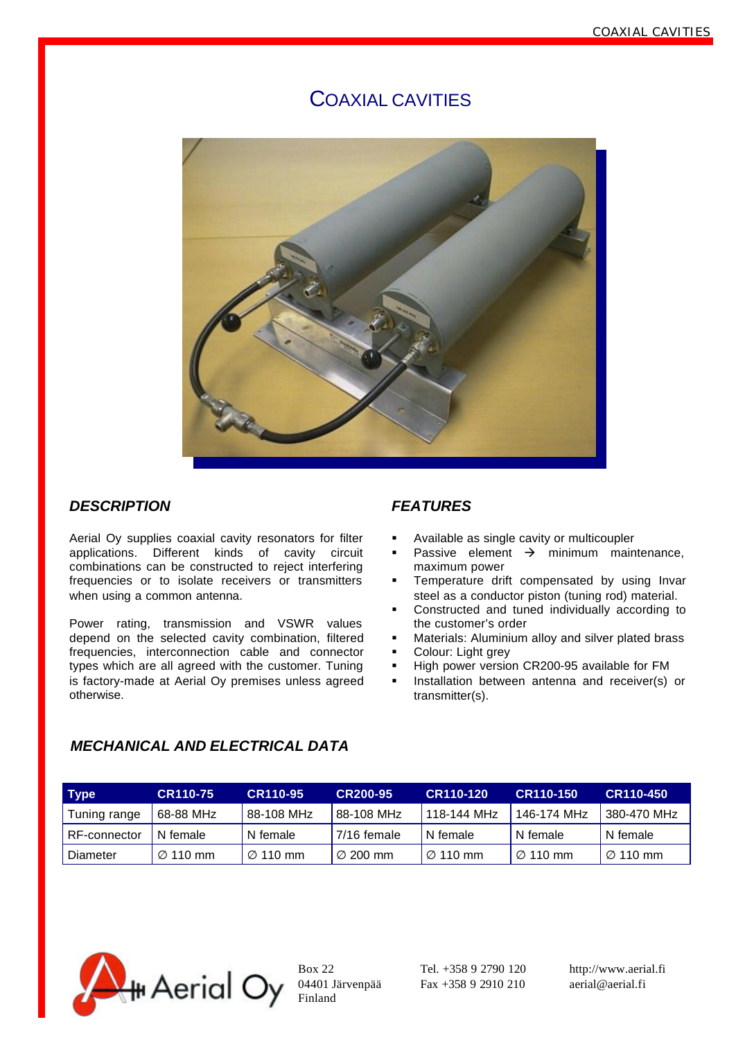# COAXIAL CAVITIES



## *DESCRIPTION*

Aerial Oy supplies coaxial cavity resonators for filter applications. Different kinds of cavity circuit combinations can be constructed to reject interfering frequencies or to isolate receivers or transmitters when using a common antenna.

Power rating, transmission and VSWR values depend on the selected cavity combination, filtered frequencies, interconnection cable and connector types which are all agreed with the customer. Tuning is factory-made at Aerial Oy premises unless agreed otherwise.

### *FEATURES*

- ß Available as single cavity or multicoupler
- **•** Passive element  $\rightarrow$  minimum maintenance, maximum power
- ß Temperature drift compensated by using Invar steel as a conductor piston (tuning rod) material.
- **•** Constructed and tuned individually according to the customer's order
- ß Materials: Aluminium alloy and silver plated brass
- ß Colour: Light grey
- High power version CR200-95 available for FM
- **EXECT** Installation between antenna and receiver(s) or transmitter(s).

## *MECHANICAL AND ELECTRICAL DATA*

| Type         | <b>CR110-75</b>      | <b>CR110-95</b>      | CR200-95        | CR110-120            | CR110-150            | CR110-450            |
|--------------|----------------------|----------------------|-----------------|----------------------|----------------------|----------------------|
| Tuning range | 68-88 MHz            | 88-108 MHz           | 88-108 MHz      | 118-144 MHz          | 146-174 MHz          | 380-470 MHz          |
| RF-connector | N female             | N female             | $17/16$ female  | N female             | N female             | N female             |
| Diameter     | $\varnothing$ 110 mm | $\varnothing$ 110 mm | $\sqrt{200}$ mm | $\varnothing$ 110 mm | $\varnothing$ 110 mm | $\varnothing$ 110 mm |



Finland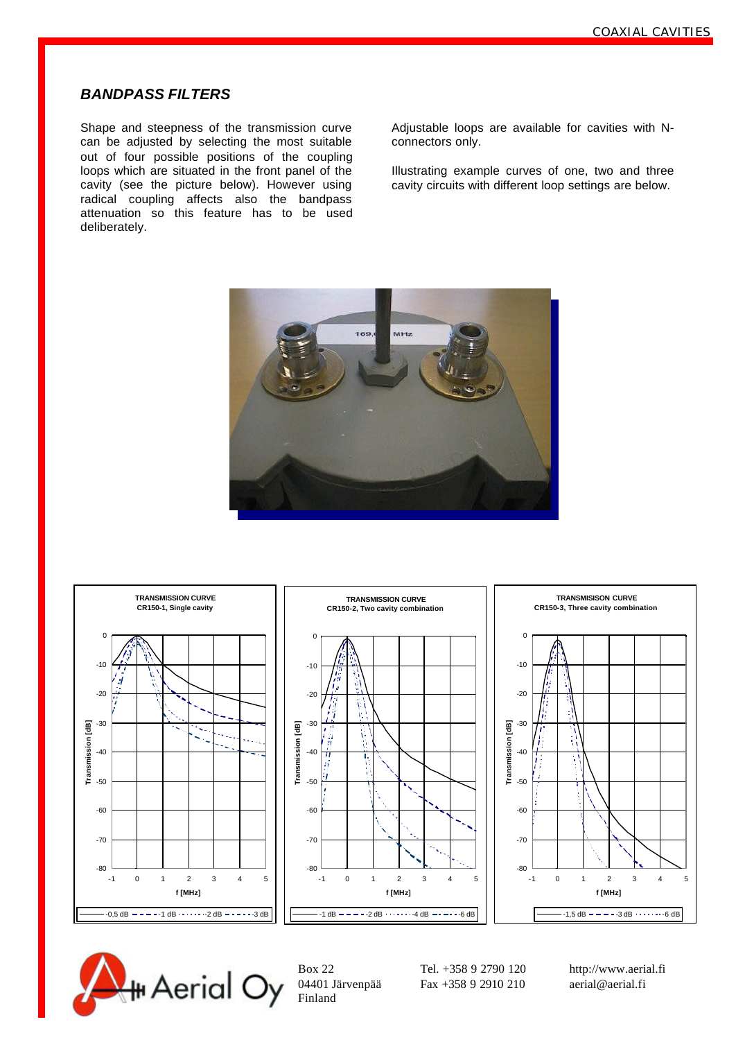## *BANDPASS FILTERS*

Shape and steepness of the transmission curve can be adjusted by selecting the most suitable out of four possible positions of the coupling loops which are situated in the front panel of the cavity (see the picture below). However using radical coupling affects also the bandpass attenuation so this feature has to be used deliberately.

Adjustable loops are available for cavities with Nconnectors only.

Illustrating example curves of one, two and three cavity circuits with different loop settings are below.







Finland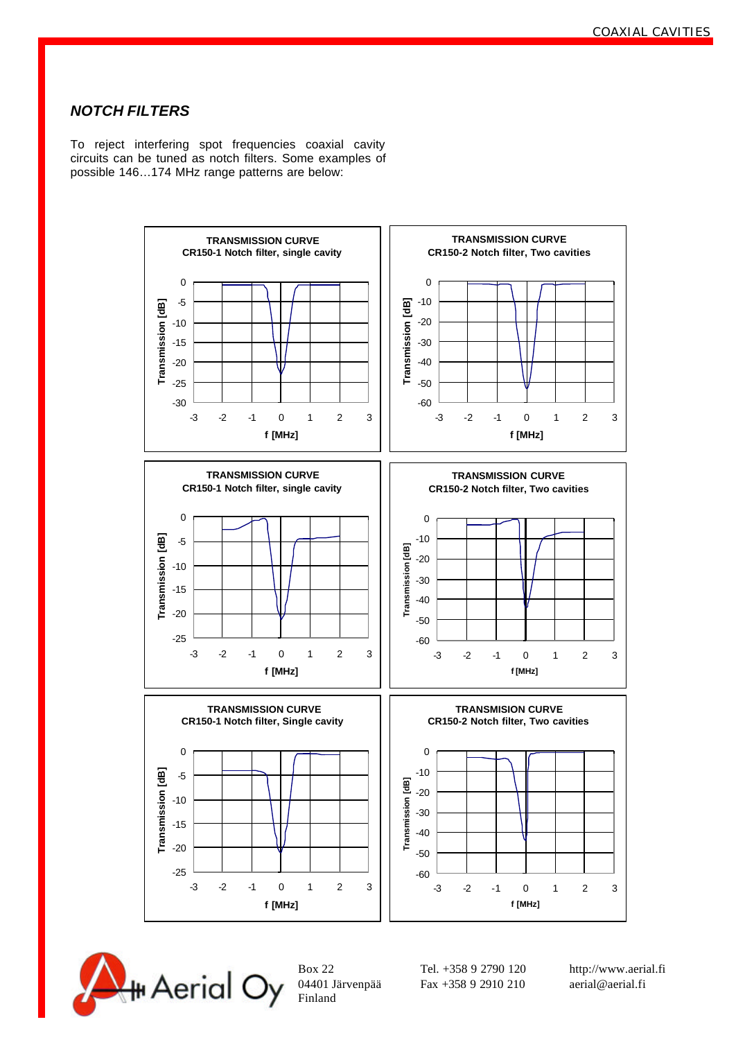## *NOTCH FILTERS*

To reject interfering spot frequencies coaxial cavity circuits can be tuned as notch filters. Some examples of possible 146…174 MHz range patterns are below:





Finland